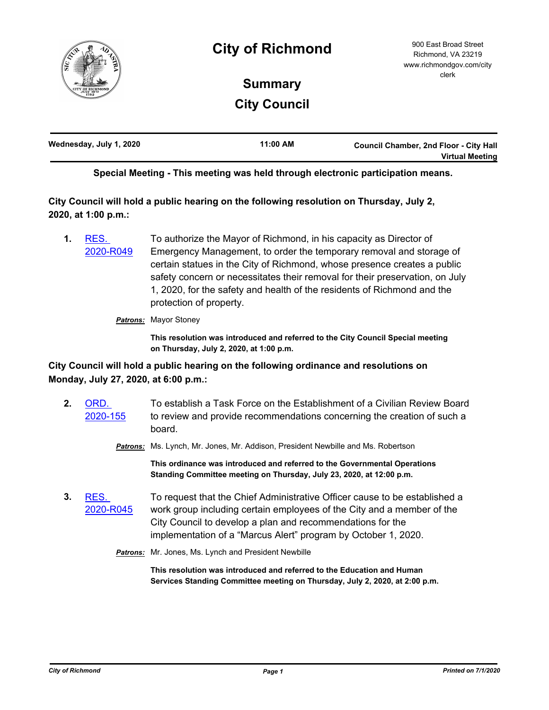

## **City of Richmond**

## **Summary City Council**

| Wednesday, July 1, 2020 | 11:00 AM | <b>Council Chamber, 2nd Floor - City Hall</b> |
|-------------------------|----------|-----------------------------------------------|
|                         |          | <b>Virtual Meeting</b>                        |

**Special Meeting - This meeting was held through electronic participation means.**

**City Council will hold a public hearing on the following resolution on Thursday, July 2, 2020, at 1:00 p.m.:**

**1.** RES. [2020-R049](http://richmondva.legistar.com/gateway.aspx?m=l&id=/matter.aspx?key=27999) To authorize the Mayor of Richmond, in his capacity as Director of Emergency Management, to order the temporary removal and storage of certain statues in the City of Richmond, whose presence creates a public safety concern or necessitates their removal for their preservation, on July 1, 2020, for the safety and health of the residents of Richmond and the protection of property.

*Patrons:* Mayor Stoney

**This resolution was introduced and referred to the City Council Special meeting on Thursday, July 2, 2020, at 1:00 p.m.**

## **City Council will hold a public hearing on the following ordinance and resolutions on Monday, July 27, 2020, at 6:00 p.m.:**

**2.** ORD. [2020-155](http://richmondva.legistar.com/gateway.aspx?m=l&id=/matter.aspx?key=27994) To establish a Task Force on the Establishment of a Civilian Review Board to review and provide recommendations concerning the creation of such a board. *Patrons:* Ms. Lynch, Mr. Jones, Mr. Addison, President Newbille and Ms. Robertson **This ordinance was introduced and referred to the Governmental Operations Standing Committee meeting on Thursday, July 23, 2020, at 12:00 p.m. 3.** RES. [2020-R045](http://richmondva.legistar.com/gateway.aspx?m=l&id=/matter.aspx?key=27995) To request that the Chief Administrative Officer cause to be established a work group including certain employees of the City and a member of the City Council to develop a plan and recommendations for the implementation of a "Marcus Alert" program by October 1, 2020. *Patrons:* Mr. Jones, Ms. Lynch and President Newbille

> **This resolution was introduced and referred to the Education and Human Services Standing Committee meeting on Thursday, July 2, 2020, at 2:00 p.m.**